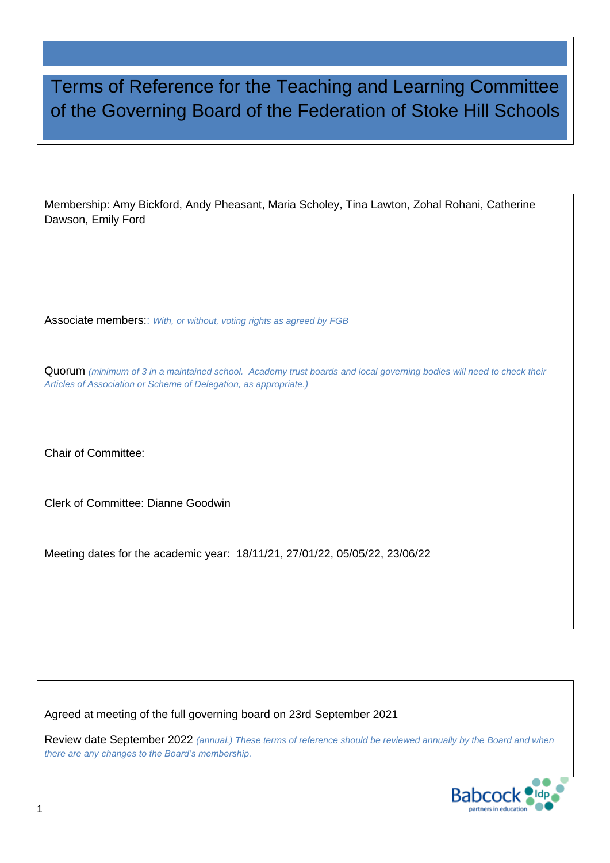# Terms of Reference for the Teaching and Learning Committee of the Governing Board of the Federation of Stoke Hill Schools

Membership: Amy Bickford, Andy Pheasant, Maria Scholey, Tina Lawton, Zohal Rohani, Catherine Dawson, Emily Ford

Associate members:: *With, or without, voting rights as agreed by FGB*

Quorum *(minimum of 3 in a maintained school. Academy trust boards and local governing bodies will need to check their Articles of Association or Scheme of Delegation, as appropriate.)*

Chair of Committee:

Clerk of Committee: Dianne Goodwin

Meeting dates for the academic year: 18/11/21, 27/01/22, 05/05/22, 23/06/22

Agreed at meeting of the full governing board on 23rd September 2021

Review date September 2022 *(annual.) These terms of reference should be reviewed annually by the Board and when there are any changes to the Board's membership.*

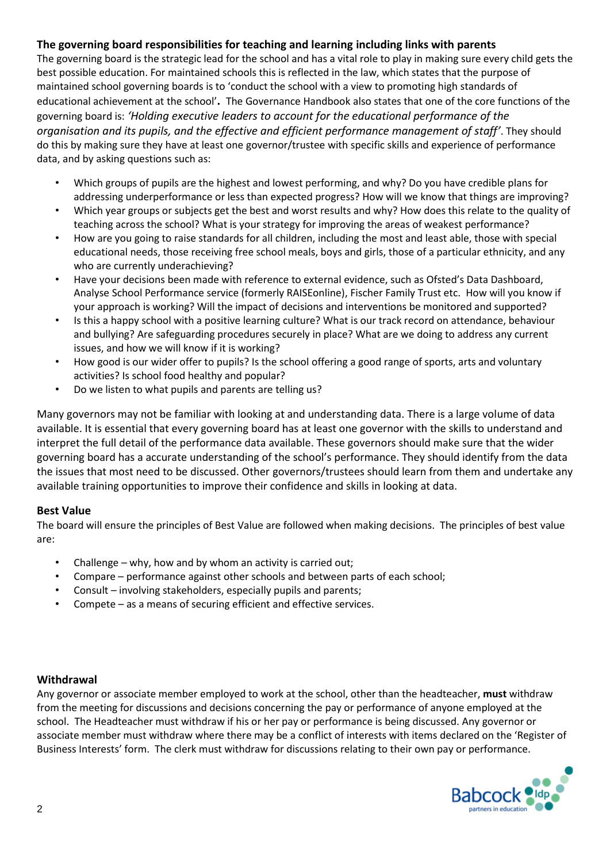### **The governing board responsibilities for teaching and learning including links with parents**

The governing board is the strategic lead for the school and has a vital role to play in making sure every child gets the best possible education. For maintained schools this is reflected in the law, which states that the purpose of maintained school governing boards is to 'conduct the school with a view to promoting high standards of educational achievement at the school'**.** The Governance Handbook also states that one of the core functions of the governing board is: *'Holding executive leaders to account for the educational performance of the organisation and its pupils, and the effective and efficient performance management of staff'*. They should do this by making sure they have at least one governor/trustee with specific skills and experience of performance data, and by asking questions such as:

- Which groups of pupils are the highest and lowest performing, and why? Do you have credible plans for addressing underperformance or less than expected progress? How will we know that things are improving?
- Which year groups or subjects get the best and worst results and why? How does this relate to the quality of teaching across the school? What is your strategy for improving the areas of weakest performance?
- How are you going to raise standards for all children, including the most and least able, those with special educational needs, those receiving free school meals, boys and girls, those of a particular ethnicity, and any who are currently underachieving?
- Have your decisions been made with reference to external evidence, such as Ofsted's Data Dashboard, Analyse School Performance service (formerly RAISEonline), Fischer Family Trust etc. How will you know if your approach is working? Will the impact of decisions and interventions be monitored and supported?
- Is this a happy school with a positive learning culture? What is our track record on attendance, behaviour and bullying? Are safeguarding procedures securely in place? What are we doing to address any current issues, and how we will know if it is working?
- How good is our wider offer to pupils? Is the school offering a good range of sports, arts and voluntary activities? Is school food healthy and popular?
- Do we listen to what pupils and parents are telling us?

Many governors may not be familiar with looking at and understanding data. There is a large volume of data available. It is essential that every governing board has at least one governor with the skills to understand and interpret the full detail of the performance data available. These governors should make sure that the wider governing board has a accurate understanding of the school's performance. They should identify from the data the issues that most need to be discussed. Other governors/trustees should learn from them and undertake any available training opportunities to improve their confidence and skills in looking at data.

### **Best Value**

The board will ensure the principles of Best Value are followed when making decisions. The principles of best value are:

- Challenge why, how and by whom an activity is carried out;
- Compare performance against other schools and between parts of each school;
- Consult involving stakeholders, especially pupils and parents;
- Compete as a means of securing efficient and effective services.

#### **Withdrawal**

Any governor or associate member employed to work at the school, other than the headteacher, **must** withdraw from the meeting for discussions and decisions concerning the pay or performance of anyone employed at the school. The Headteacher must withdraw if his or her pay or performance is being discussed. Any governor or associate member must withdraw where there may be a conflict of interests with items declared on the 'Register of Business Interests' form. The clerk must withdraw for discussions relating to their own pay or performance.

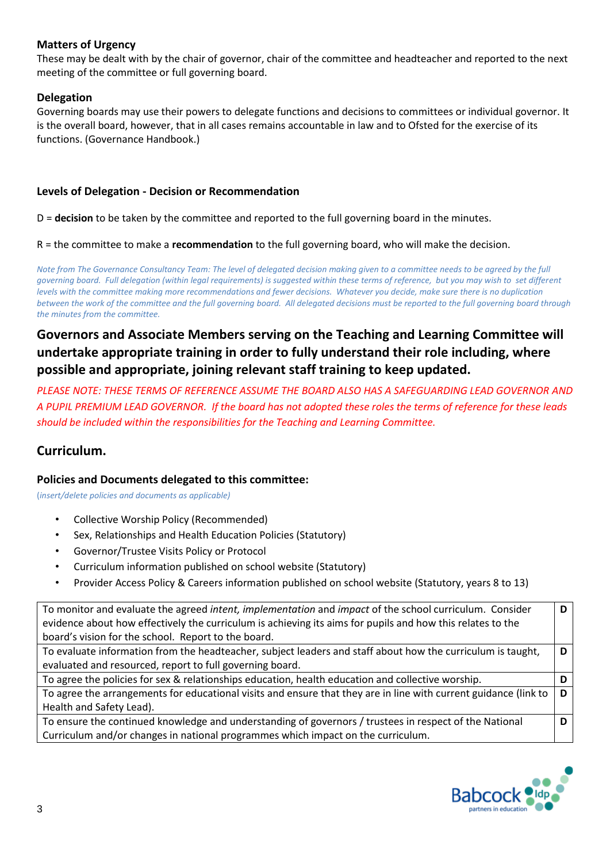### **Matters of Urgency**

These may be dealt with by the chair of governor, chair of the committee and headteacher and reported to the next meeting of the committee or full governing board.

### **Delegation**

Governing boards may use their powers to delegate functions and decisions to committees or individual governor. It is the overall board, however, that in all cases remains accountable in law and to Ofsted for the exercise of its functions. (Governance Handbook.)

### **Levels of Delegation - Decision or Recommendation**

D = **decision** to be taken by the committee and reported to the full governing board in the minutes.

R = the committee to make a **recommendation** to the full governing board, who will make the decision.

*Note from The Governance Consultancy Team: The level of delegated decision making given to a committee needs to be agreed by the full governing board. Full delegation (within legal requirements) is suggested within these terms of reference, but you may wish to set different levels with the committee making more recommendations and fewer decisions. Whatever you decide, make sure there is no duplication between the work of the committee and the full governing board. All delegated decisions must be reported to the full governing board through the minutes from the committee.*

### **Governors and Associate Members serving on the Teaching and Learning Committee will undertake appropriate training in order to fully understand their role including, where possible and appropriate, joining relevant staff training to keep updated.**

*PLEASE NOTE: THESE TERMS OF REFERENCE ASSUME THE BOARD ALSO HAS A SAFEGUARDING LEAD GOVERNOR AND A PUPIL PREMIUM LEAD GOVERNOR. If the board has not adopted these roles the terms of reference for these leads should be included within the responsibilities for the Teaching and Learning Committee.*

### **Curriculum.**

#### **Policies and Documents delegated to this committee:**

(*insert/delete policies and documents as applicable)*

- Collective Worship Policy (Recommended)
- Sex, Relationships and Health Education Policies (Statutory)
- Governor/Trustee Visits Policy or Protocol
- Curriculum information published on school website (Statutory)
- Provider Access Policy & Careers information published on school website (Statutory, years 8 to 13)

| To monitor and evaluate the agreed intent, implementation and impact of the school curriculum. Consider          | D |
|------------------------------------------------------------------------------------------------------------------|---|
| evidence about how effectively the curriculum is achieving its aims for pupils and how this relates to the       |   |
| board's vision for the school. Report to the board.                                                              |   |
| To evaluate information from the headteacher, subject leaders and staff about how the curriculum is taught,      | D |
| evaluated and resourced, report to full governing board.                                                         |   |
| To agree the policies for sex & relationships education, health education and collective worship.                |   |
| To agree the arrangements for educational visits and ensure that they are in line with current guidance (link to | D |
| Health and Safety Lead).                                                                                         |   |
| To ensure the continued knowledge and understanding of governors / trustees in respect of the National           |   |
| Curriculum and/or changes in national programmes which impact on the curriculum.                                 |   |

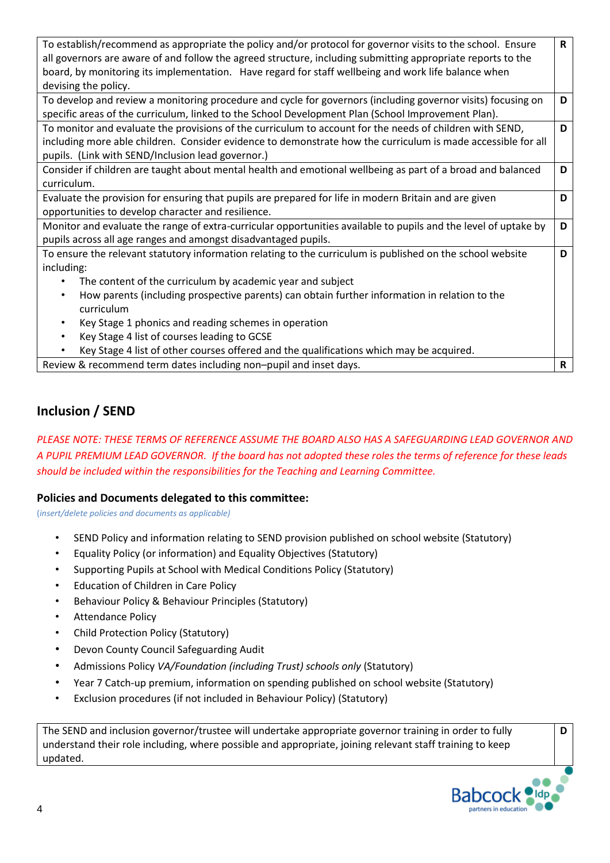| To establish/recommend as appropriate the policy and/or protocol for governor visits to the school. Ensure      | $\mathsf{R}$ |
|-----------------------------------------------------------------------------------------------------------------|--------------|
| all governors are aware of and follow the agreed structure, including submitting appropriate reports to the     |              |
| board, by monitoring its implementation. Have regard for staff wellbeing and work life balance when             |              |
| devising the policy.                                                                                            |              |
| To develop and review a monitoring procedure and cycle for governors (including governor visits) focusing on    | D            |
| specific areas of the curriculum, linked to the School Development Plan (School Improvement Plan).              |              |
| To monitor and evaluate the provisions of the curriculum to account for the needs of children with SEND,        | D            |
| including more able children. Consider evidence to demonstrate how the curriculum is made accessible for all    |              |
| pupils. (Link with SEND/Inclusion lead governor.)                                                               |              |
| Consider if children are taught about mental health and emotional wellbeing as part of a broad and balanced     | D            |
| curriculum.                                                                                                     |              |
| Evaluate the provision for ensuring that pupils are prepared for life in modern Britain and are given           | D            |
| opportunities to develop character and resilience.                                                              |              |
| Monitor and evaluate the range of extra-curricular opportunities available to pupils and the level of uptake by | D            |
| pupils across all age ranges and amongst disadvantaged pupils.                                                  |              |
| To ensure the relevant statutory information relating to the curriculum is published on the school website      | D            |
| including:                                                                                                      |              |
| The content of the curriculum by academic year and subject                                                      |              |
| How parents (including prospective parents) can obtain further information in relation to the<br>$\bullet$      |              |
| curriculum                                                                                                      |              |
| Key Stage 1 phonics and reading schemes in operation<br>٠                                                       |              |
| Key Stage 4 list of courses leading to GCSE                                                                     |              |
| Key Stage 4 list of other courses offered and the qualifications which may be acquired.                         |              |
| Review & recommend term dates including non-pupil and inset days.                                               | R            |

### **Inclusion / SEND**

*PLEASE NOTE: THESE TERMS OF REFERENCE ASSUME THE BOARD ALSO HAS A SAFEGUARDING LEAD GOVERNOR AND A PUPIL PREMIUM LEAD GOVERNOR. If the board has not adopted these roles the terms of reference for these leads should be included within the responsibilities for the Teaching and Learning Committee.*

#### **Policies and Documents delegated to this committee:**

(*insert/delete policies and documents as applicable)*

- SEND Policy and information relating to SEND provision published on school website (Statutory)
- Equality Policy (or information) and Equality Objectives (Statutory)
- Supporting Pupils at School with Medical Conditions Policy (Statutory)
- Education of Children in Care Policy
- Behaviour Policy & Behaviour Principles (Statutory)
- Attendance Policy
- Child Protection Policy (Statutory)
- Devon County Council Safeguarding Audit
- Admissions Policy *VA/Foundation (including Trust) schools only* (Statutory)
- Year 7 Catch-up premium, information on spending published on school website (Statutory)
- Exclusion procedures (if not included in Behaviour Policy) (Statutory)

The SEND and inclusion governor/trustee will undertake appropriate governor training in order to fully understand their role including, where possible and appropriate, joining relevant staff training to keep updated.



**D**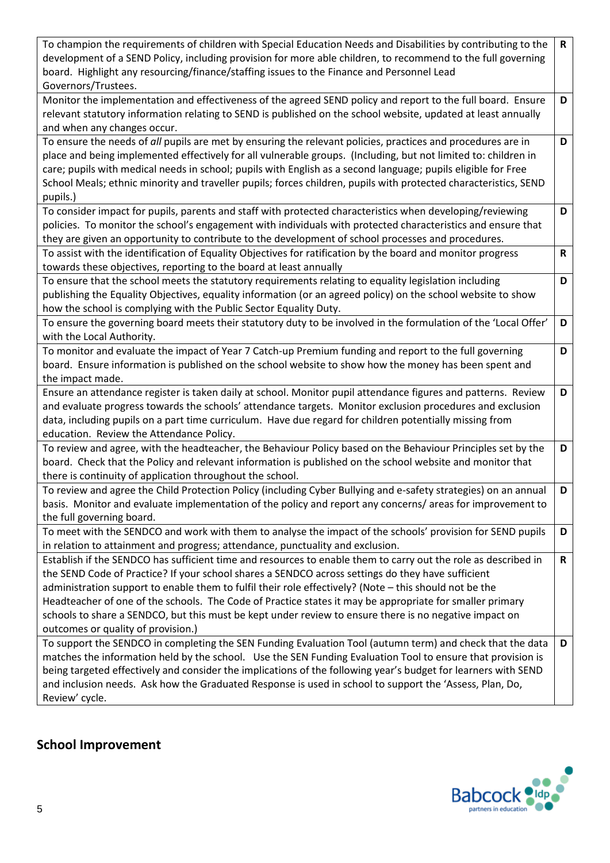| To champion the requirements of children with Special Education Needs and Disabilities by contributing to the<br>development of a SEND Policy, including provision for more able children, to recommend to the full governing<br>board. Highlight any resourcing/finance/staffing issues to the Finance and Personnel Lead<br>Governors/Trustees. | $\mathsf{R}$ |
|---------------------------------------------------------------------------------------------------------------------------------------------------------------------------------------------------------------------------------------------------------------------------------------------------------------------------------------------------|--------------|
|                                                                                                                                                                                                                                                                                                                                                   |              |
| Monitor the implementation and effectiveness of the agreed SEND policy and report to the full board. Ensure<br>relevant statutory information relating to SEND is published on the school website, updated at least annually<br>and when any changes occur.                                                                                       | D            |
| To ensure the needs of all pupils are met by ensuring the relevant policies, practices and procedures are in                                                                                                                                                                                                                                      | D            |
| place and being implemented effectively for all vulnerable groups. (Including, but not limited to: children in                                                                                                                                                                                                                                    |              |
| care; pupils with medical needs in school; pupils with English as a second language; pupils eligible for Free                                                                                                                                                                                                                                     |              |
| School Meals; ethnic minority and traveller pupils; forces children, pupils with protected characteristics, SEND                                                                                                                                                                                                                                  |              |
| pupils.)                                                                                                                                                                                                                                                                                                                                          |              |
| To consider impact for pupils, parents and staff with protected characteristics when developing/reviewing                                                                                                                                                                                                                                         | D            |
| policies. To monitor the school's engagement with individuals with protected characteristics and ensure that                                                                                                                                                                                                                                      |              |
| they are given an opportunity to contribute to the development of school processes and procedures.                                                                                                                                                                                                                                                |              |
| To assist with the identification of Equality Objectives for ratification by the board and monitor progress                                                                                                                                                                                                                                       | R            |
| towards these objectives, reporting to the board at least annually                                                                                                                                                                                                                                                                                |              |
| To ensure that the school meets the statutory requirements relating to equality legislation including                                                                                                                                                                                                                                             | D            |
| publishing the Equality Objectives, equality information (or an agreed policy) on the school website to show                                                                                                                                                                                                                                      |              |
|                                                                                                                                                                                                                                                                                                                                                   |              |
| how the school is complying with the Public Sector Equality Duty.<br>To ensure the governing board meets their statutory duty to be involved in the formulation of the 'Local Offer'                                                                                                                                                              | D            |
| with the Local Authority.                                                                                                                                                                                                                                                                                                                         |              |
| To monitor and evaluate the impact of Year 7 Catch-up Premium funding and report to the full governing                                                                                                                                                                                                                                            | D            |
|                                                                                                                                                                                                                                                                                                                                                   |              |
| board. Ensure information is published on the school website to show how the money has been spent and<br>the impact made.                                                                                                                                                                                                                         |              |
|                                                                                                                                                                                                                                                                                                                                                   |              |
| Ensure an attendance register is taken daily at school. Monitor pupil attendance figures and patterns. Review                                                                                                                                                                                                                                     | D            |
| and evaluate progress towards the schools' attendance targets. Monitor exclusion procedures and exclusion                                                                                                                                                                                                                                         |              |
| data, including pupils on a part time curriculum. Have due regard for children potentially missing from                                                                                                                                                                                                                                           |              |
| education. Review the Attendance Policy.                                                                                                                                                                                                                                                                                                          |              |
| To review and agree, with the headteacher, the Behaviour Policy based on the Behaviour Principles set by the                                                                                                                                                                                                                                      | D            |
| board. Check that the Policy and relevant information is published on the school website and monitor that                                                                                                                                                                                                                                         |              |
| there is continuity of application throughout the school.                                                                                                                                                                                                                                                                                         |              |
| To review and agree the Child Protection Policy (including Cyber Bullying and e-safety strategies) on an annual                                                                                                                                                                                                                                   | D            |
| basis. Monitor and evaluate implementation of the policy and report any concerns/ areas for improvement to                                                                                                                                                                                                                                        |              |
| the full governing board.                                                                                                                                                                                                                                                                                                                         |              |
| To meet with the SENDCO and work with them to analyse the impact of the schools' provision for SEND pupils                                                                                                                                                                                                                                        | D            |
| in relation to attainment and progress; attendance, punctuality and exclusion.                                                                                                                                                                                                                                                                    |              |
| Establish if the SENDCO has sufficient time and resources to enable them to carry out the role as described in                                                                                                                                                                                                                                    | $\mathsf{R}$ |
| the SEND Code of Practice? If your school shares a SENDCO across settings do they have sufficient                                                                                                                                                                                                                                                 |              |
| administration support to enable them to fulfil their role effectively? (Note - this should not be the                                                                                                                                                                                                                                            |              |
| Headteacher of one of the schools. The Code of Practice states it may be appropriate for smaller primary                                                                                                                                                                                                                                          |              |
| schools to share a SENDCO, but this must be kept under review to ensure there is no negative impact on                                                                                                                                                                                                                                            |              |
| outcomes or quality of provision.)                                                                                                                                                                                                                                                                                                                |              |
| To support the SENDCO in completing the SEN Funding Evaluation Tool (autumn term) and check that the data                                                                                                                                                                                                                                         | D            |
| matches the information held by the school. Use the SEN Funding Evaluation Tool to ensure that provision is                                                                                                                                                                                                                                       |              |
| being targeted effectively and consider the implications of the following year's budget for learners with SEND                                                                                                                                                                                                                                    |              |
| and inclusion needs. Ask how the Graduated Response is used in school to support the 'Assess, Plan, Do,                                                                                                                                                                                                                                           |              |
| Review' cycle.                                                                                                                                                                                                                                                                                                                                    |              |

## **School Improvement**

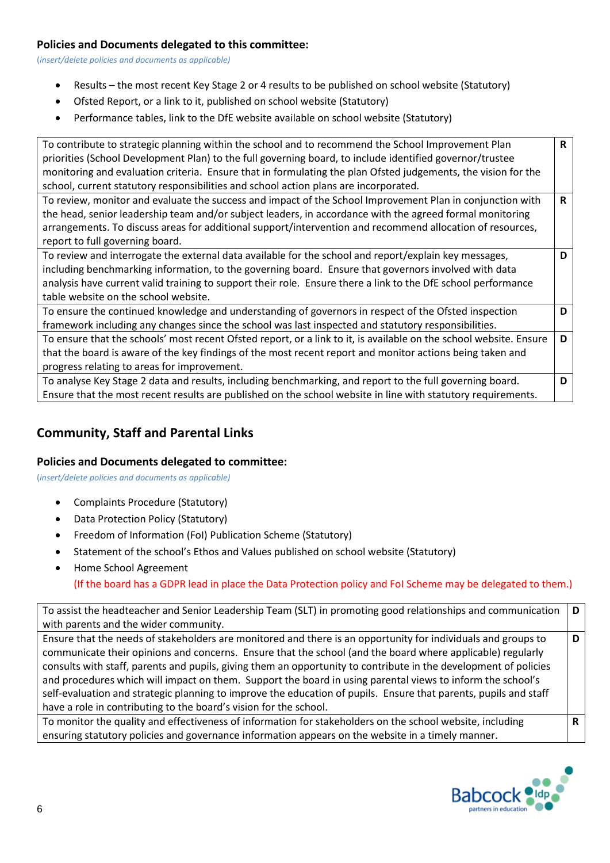#### **Policies and Documents delegated to this committee:**

(*insert/delete policies and documents as applicable)*

- Results the most recent Key Stage 2 or 4 results to be published on school website (Statutory)
- Ofsted Report, or a link to it, published on school website (Statutory)
- Performance tables, link to the DfE website available on school website (Statutory)

| To contribute to strategic planning within the school and to recommend the School Improvement Plan                 | R |
|--------------------------------------------------------------------------------------------------------------------|---|
| priorities (School Development Plan) to the full governing board, to include identified governor/trustee           |   |
| monitoring and evaluation criteria. Ensure that in formulating the plan Ofsted judgements, the vision for the      |   |
| school, current statutory responsibilities and school action plans are incorporated.                               |   |
| To review, monitor and evaluate the success and impact of the School Improvement Plan in conjunction with          | R |
| the head, senior leadership team and/or subject leaders, in accordance with the agreed formal monitoring           |   |
| arrangements. To discuss areas for additional support/intervention and recommend allocation of resources,          |   |
| report to full governing board.                                                                                    |   |
| To review and interrogate the external data available for the school and report/explain key messages,              | D |
| including benchmarking information, to the governing board. Ensure that governors involved with data               |   |
| analysis have current valid training to support their role. Ensure there a link to the DfE school performance      |   |
| table website on the school website.                                                                               |   |
| To ensure the continued knowledge and understanding of governors in respect of the Ofsted inspection               | D |
| framework including any changes since the school was last inspected and statutory responsibilities.                |   |
| To ensure that the schools' most recent Ofsted report, or a link to it, is available on the school website. Ensure | D |
| that the board is aware of the key findings of the most recent report and monitor actions being taken and          |   |
| progress relating to areas for improvement.                                                                        |   |
| To analyse Key Stage 2 data and results, including benchmarking, and report to the full governing board.           | D |
| Ensure that the most recent results are published on the school website in line with statutory requirements.       |   |

### **Community, Staff and Parental Links**

### **Policies and Documents delegated to committee:**

(*insert/delete policies and documents as applicable)*

- Complaints Procedure (Statutory)
- Data Protection Policy (Statutory)
- Freedom of Information (FoI) Publication Scheme (Statutory)
- Statement of the school's Ethos and Values published on school website (Statutory)
- Home School Agreement

(If the board has a GDPR lead in place the Data Protection policy and FoI Scheme may be delegated to them.)

To assist the headteacher and Senior Leadership Team (SLT) in promoting good relationships and communication with parents and the wider community. **D**

Ensure that the needs of stakeholders are monitored and there is an opportunity for individuals and groups to communicate their opinions and concerns. Ensure that the school (and the board where applicable) regularly consults with staff, parents and pupils, giving them an opportunity to contribute in the development of policies and procedures which will impact on them. Support the board in using parental views to inform the school's self-evaluation and strategic planning to improve the education of pupils. Ensure that parents, pupils and staff have a role in contributing to the board's vision for the school. **D**

To monitor the quality and effectiveness of information for stakeholders on the school website, including ensuring statutory policies and governance information appears on the website in a timely manner.



**R**